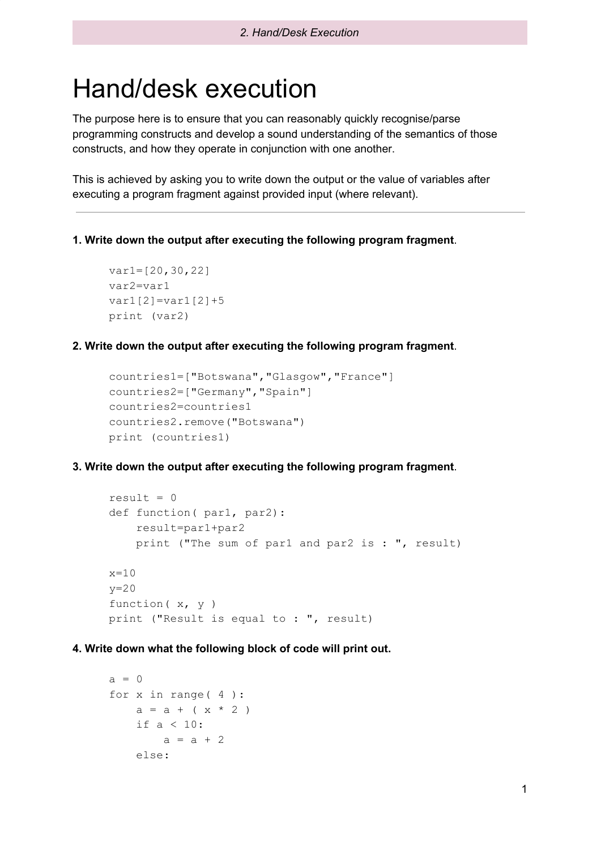# Hand/desk execution

The purpose here is to ensure that you can reasonably quickly recognise/parse programming constructs and develop a sound understanding of the semantics of those constructs, and how they operate in conjunction with one another.

This is achieved by asking you to write down the output or the value of variables after executing a program fragment against provided input (where relevant).

**1. Write down the output after executing the following program fragment**.

```
var1=[20,30,22]
var2=var1
var1[2] = var1[2]+5print (var2)
```
**2. Write down the output after executing the following program fragment**.

```
countries1=["Botswana","Glasgow","France"]
countries2=["Germany","Spain"]
countries2=countries1
countries2.remove("Botswana")
print (countries1)
```
**3. Write down the output after executing the following program fragment**.

```
result = 0def function ( par1, par2):
    result=par1+par2
    print ("The sum of par1 and par2 is : ", result)
x=10y=20function( x, y )
print ("Result is equal to : ", result)
```

```
a = 0for x in range( 4 ):
   a = a + (x * 2)if a < 10:
       a = a + 2else:
```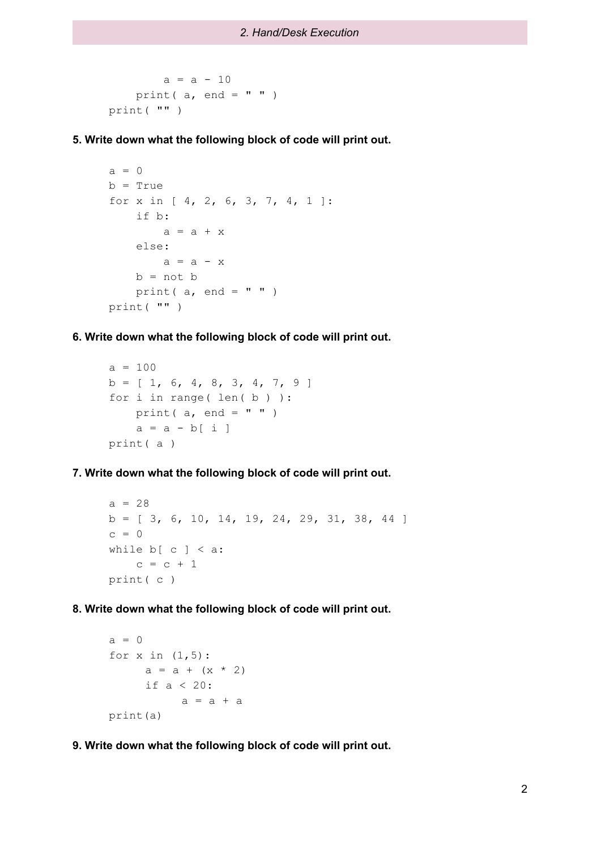```
a = a - 10print (a, end = " " )print( "" )
```
**5. Write down what the following block of code will print out.**

```
a = 0b = Truefor x in [ 4, 2, 6, 3, 7, 4, 1 ]:
   if b:
       a = a + xelse:
       a = a - xb = not bprint( a, end = " " )print( "" )
```
**6. Write down what the following block of code will print out.**

```
a = 100b = [ 1, 6, 4, 8, 3, 4, 7, 9 ]for i in range( len(b) ):
   print( a, end = " " )a = a - b[i]print( a )
```
**7. Write down what the following block of code will print out.**

```
a = 28b = [ 3, 6, 10, 14, 19, 24, 29, 31, 38, 44 ]c = 0while b[ c ] < a:
   c = c + 1print( c )
```
**8. Write down what the following block of code will print out.**

```
a = 0for x in (1,5):
     a = a + (x * 2)if a < 20:
          a = a + aprint(a)
```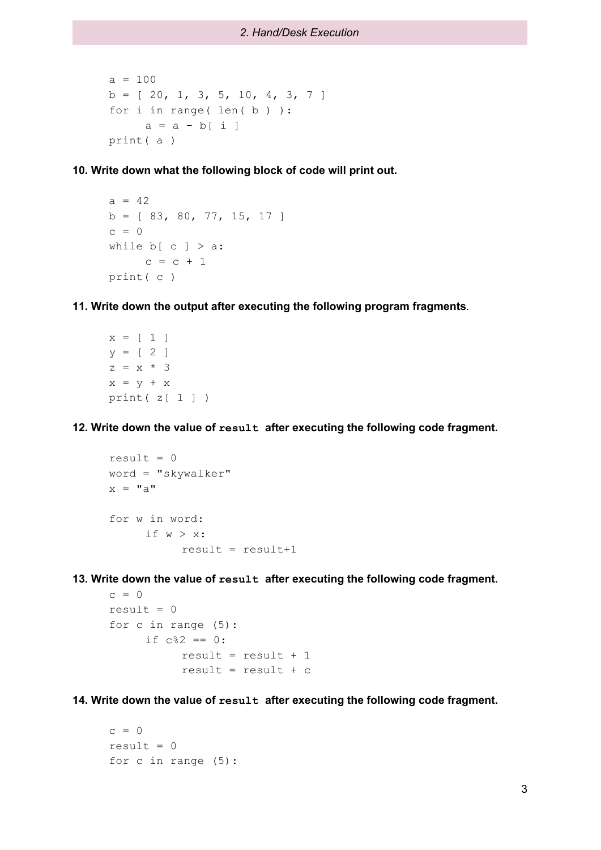```
a = 100b = [ 20, 1, 3, 5, 10, 4, 3, 7 ]for i in range( len( b ) ):
     a = a - b[i]print( a )
```
**10. Write down what the following block of code will print out.**

```
a = 42b = [ 83, 80, 77, 15, 17 ]c = 0while b[ c ] > a:
    c = c + 1print( c )
```
**11. Write down the output after executing the following program fragments**.

 $x = [ 1 ]$  $y = [2]$  $z = x * 3$  $x = y + x$ print  $(z[1])$ 

**12. Write down the value of result after executing the following code fragment.**

```
result = 0word = "skywalker"
x = "a"for w in word:
     if w > x:
          result = result+1
```
**13. Write down the value of result after executing the following code fragment.**

```
c = 0result = 0for c in range (5):
     if c 82 == 0:
          result = result + 1result = result + c
```
**14. Write down the value of result after executing the following code fragment.**

```
c = 0result = 0for c in range (5):
```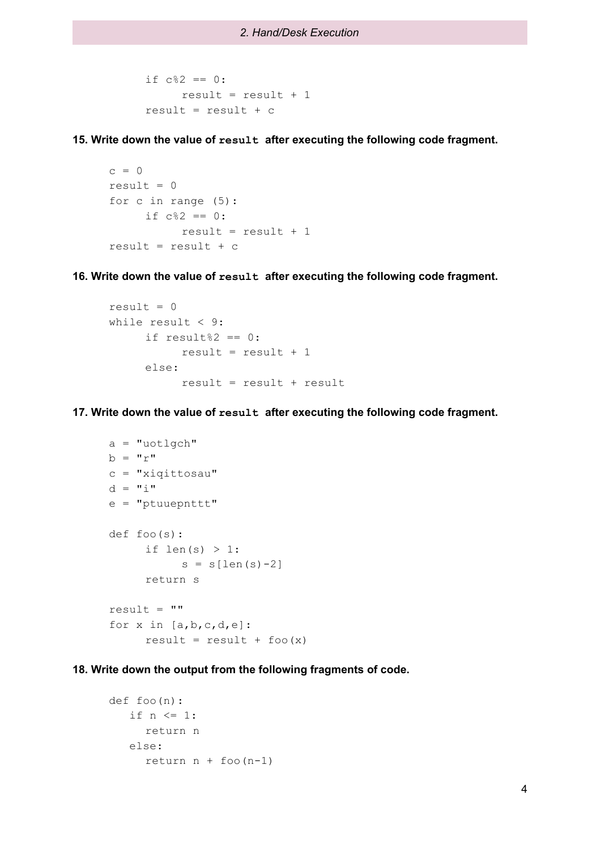```
if c %2 == 0:
     result = result + 1result = result + c
```
**15. Write down the value of result after executing the following code fragment.**

```
c = 0result = 0for c in range (5):
     if c 82 == 0:
          result = result + 1result = result + c
```
**16. Write down the value of result after executing the following code fragment.**

```
result = 0while result \leq 9:
     if result%2 == 0:
           result = result + 1else:
           result = result + result
```
**17. Write down the value of result after executing the following code fragment.**

```
a = "uotlqch"b = "r"c = "xiqittosau"
d = "i"e = "ptuuepnttt"
def foo(s):
     if len(s) > 1:
          s = s[len(s) - 2]return s
result = ""
for x in [a,b,c,d,e]:
     result = result + foo(x)
```
**18. Write down the output from the following fragments of code.**

```
def foo(n):
   if n \leq 1:
     return n
   else:
     return n + foo(n-1)
```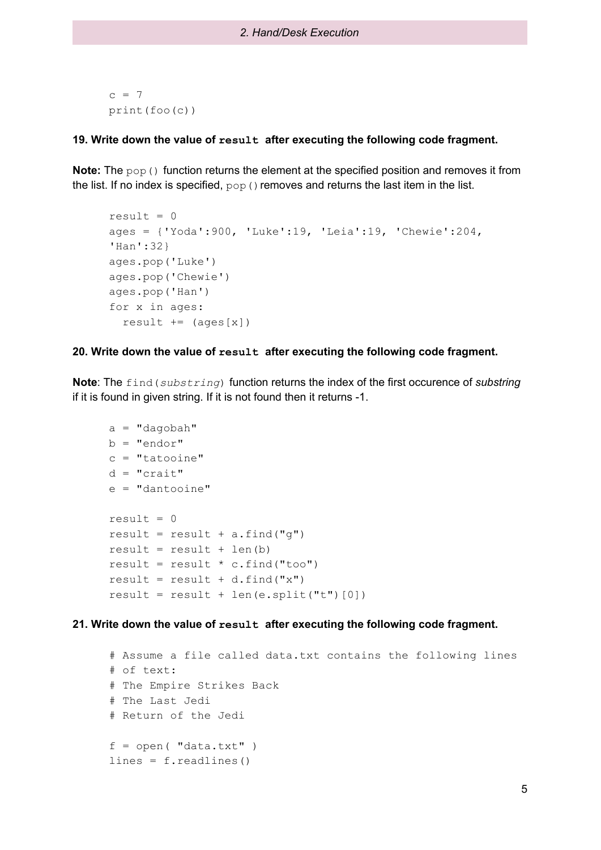$c = 7$ print(foo(c))

## **19. Write down the value of result after executing the following code fragment.**

**Note:** The pop() function returns the element at the specified position and removes it from the list. If no index is specified,  $_{\text{pop}}$  () removes and returns the last item in the list.

```
result = 0ages = {'Yoda':900, 'Luke':19, 'Leia':19, 'Chewie':204,
'Han':32}
ages.pop('Luke')
ages.pop('Chewie')
ages.pop('Han')
for x in ages:
  result += (ages[x])
```
#### **20. Write down the value of result after executing the following code fragment.**

**Note**: The find(*substring*) function returns the index of the first occurence of *substring* if it is found in given string. If it is not found then it returns -1.

```
a = "dagobah"b = "endor"c = "tatooine"
d = "crait"
e = "dantooine"
result = 0result = result + a.find("g")result = result + len(b)result = result * c.find("too")
result = result + d.find("x")result = result + len(e.split("t")[0])
```
## **21. Write down the value of result after executing the following code fragment.**

```
# Assume a file called data.txt contains the following lines
# of text:
# The Empire Strikes Back
# The Last Jedi
# Return of the Jedi
f = open('''data.txt'')lines = f.readlines()
```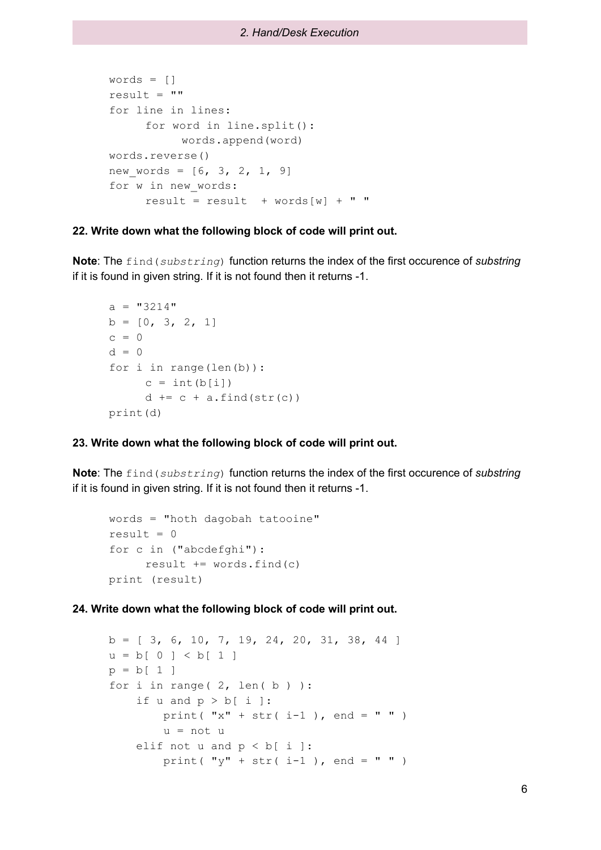```
words = []
result = ""
for line in lines:
     for word in line.split():
          words.append(word)
words.reverse()
new words = [6, 3, 2, 1, 9]for w in new_words:
     result = result + words[w] + " "
```
## **22. Write down what the following block of code will print out.**

**Note**: The find(*substring*) function returns the index of the first occurence of *substring* if it is found in given string. If it is not found then it returns -1.

```
a = "3214"b = [0, 3, 2, 1]c = 0d = 0for i in range(len(b)):
     c = int(b[i])d += c + a.find(str(c))
print(d)
```
## **23. Write down what the following block of code will print out.**

**Note**: The find(*substring*) function returns the index of the first occurence of *substring* if it is found in given string. If it is not found then it returns -1.

```
words = "hoth dagobah tatooine"
result = 0for c in ("abcdefghi"):
     result += words.find(c)
print (result)
```

```
b = [ 3, 6, 10, 7, 19, 24, 20, 31, 38, 44 ]u = b[ 0 ] < b[ 1 ]p = b[1]for i in range (2, len(b)):
    if u and p > b[ i ]:
        print( "x" + str( i-1 ), end = " " )
        u = not u
    elif not u and p < b[ i ]:
        print( "\mathsf{y}" + \mathsf{str}(\mathsf{i} - 1), end = " " )
```